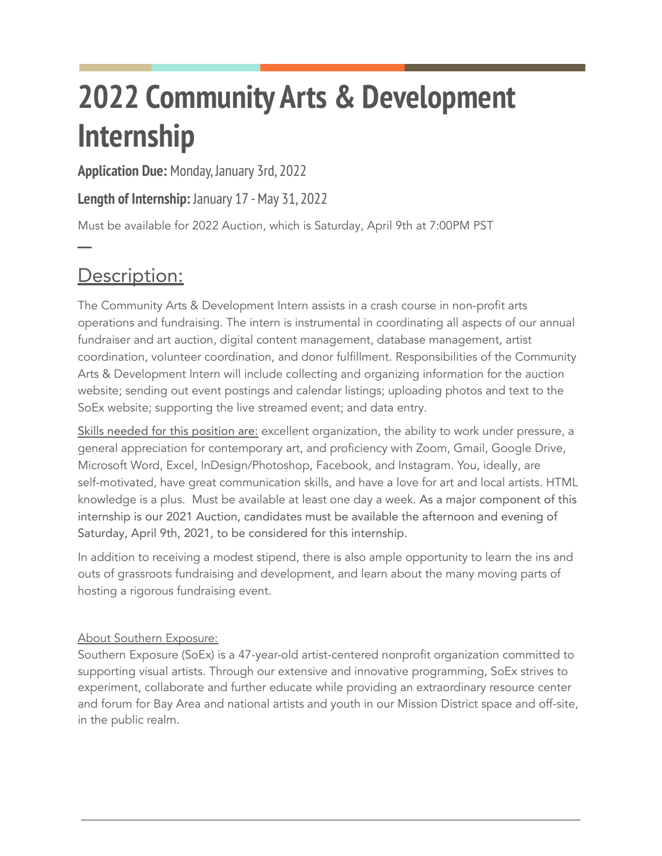# **2022 Community Arts & Development Internship**

**Application Due:** Monday, January 3rd, 2022

**Length of Internship:** January 17 -May 31, 2022

Must be available for 2022 Auction, which is Saturday, April 9th at 7:00PM PST

## Description:

**─**

The Community Arts & Development Intern assists in a crash course in non-profit arts operations and fundraising. The intern is instrumental in coordinating all aspects of our annual fundraiser and art auction, digital content management, database management, artist coordination, volunteer coordination, and donor fulfillment. Responsibilities of the Community Arts & Development Intern will include collecting and organizing information for the auction website; sending out event postings and calendar listings; uploading photos and text to the SoEx website; supporting the live streamed event; and data entry.

Skills needed for this position are: excellent organization, the ability to work under pressure, a general appreciation for contemporary art, and proficiency with Zoom, Gmail, Google Drive, Microsoft Word, Excel, InDesign/Photoshop, Facebook, and Instagram. You, ideally, are self-motivated, have great communication skills, and have a love for art and local artists. HTML knowledge is a plus. Must be available at least one day a week. As a major component of this internship is our 2021 Auction, candidates must be available the afternoon and evening of Saturday, April 9th, 2021, to be considered for this internship.

In addition to receiving a modest stipend, there is also ample opportunity to learn the ins and outs of grassroots fundraising and development, and learn about the many moving parts of hosting a rigorous fundraising event.

### About Southern Exposure:

Southern Exposure (SoEx) is a 47-year-old artist-centered nonprofit organization committed to supporting visual artists. Through our extensive and innovative programming, SoEx strives to experiment, collaborate and further educate while providing an extraordinary resource center and forum for Bay Area and national artists and youth in our Mission District space and off-site, in the public realm.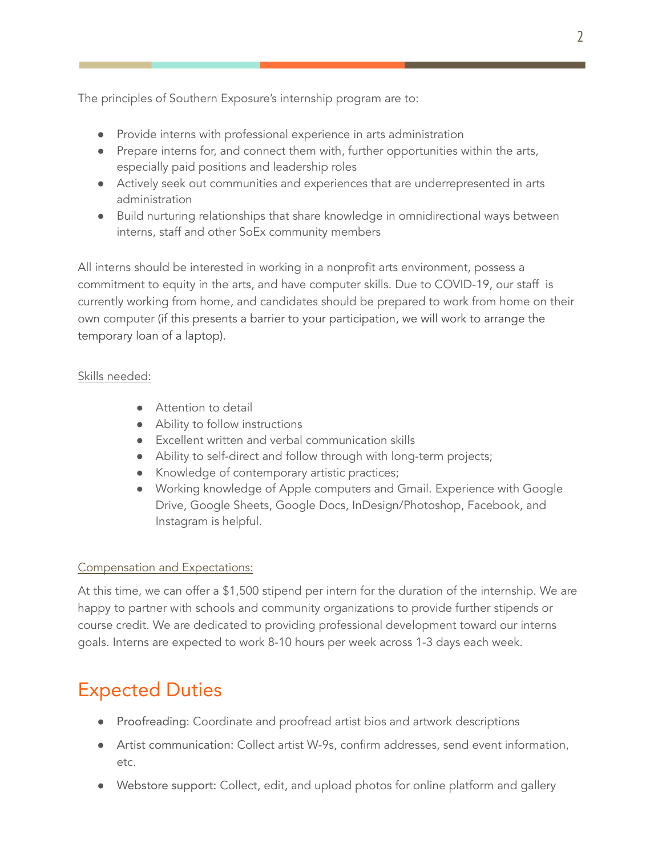The principles of Southern Exposure's internship program are to:

- Provide interns with professional experience in arts administration
- Prepare interns for, and connect them with, further opportunities within the arts, especially paid positions and leadership roles
- Actively seek out communities and experiences that are underrepresented in arts administration
- Build nurturing relationships that share knowledge in omnidirectional ways between interns, staff and other SoEx community members

All interns should be interested in working in a nonprofit arts environment, possess a commitment to equity in the arts, and have computer skills. Due to COVID-19, our staff is currently working from home, and candidates should be prepared to work from home on their own computer (if this presents a barrier to your participation, we will work to arrange the temporary loan of a laptop).

#### Skills needed:

- Attention to detail
- Ability to follow instructions
- Excellent written and verbal communication skills
- Ability to self-direct and follow through with long-term projects;
- Knowledge of contemporary artistic practices;
- Working knowledge of Apple computers and Gmail. Experience with Google Drive, Google Sheets, Google Docs, InDesign/Photoshop, Facebook, and Instagram is helpful.

#### Compensation and Expectations:

At this time, we can offer a \$1,500 stipend per intern for the duration of the internship. We are happy to partner with schools and community organizations to provide further stipends or course credit. We are dedicated to providing professional development toward our interns goals. Interns are expected to work 8-10 hours per week across 1-3 days each week.

## Expected Duties

- Proofreading: Coordinate and proofread artist bios and artwork descriptions
- Artist communication: Collect artist W-9s, confirm addresses, send event information, etc.
- Webstore support: Collect, edit, and upload photos for online platform and gallery